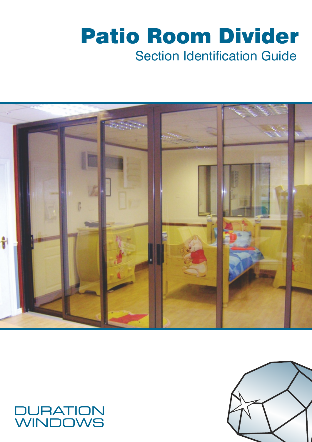# Section Identification Guide Patio Room Divider



### **JURATION WINDOWS**

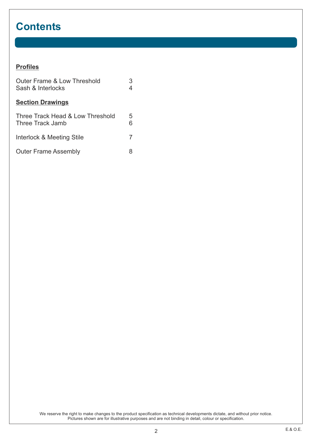### **Contents**

#### **Profiles**

| <b>Outer Frame &amp; Low Threshold</b><br>Sash & Interlocks | 3      |
|-------------------------------------------------------------|--------|
| <b>Section Drawings</b>                                     |        |
| Three Track Head & Low Threshold<br>Three Track Jamb        | 5<br>6 |
| Interlock & Meeting Stile                                   | 7      |
| <b>Outer Frame Assembly</b>                                 |        |

We reserve the right to make changes to the product specification as technical developments dictate, and without prior notice. Pictures shown are for illustrative purposes and are not binding in detail, colour or specification.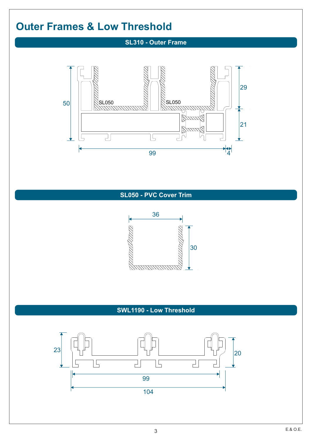### **Outer Frames & Low Threshold**

#### **SL310 - Outer Frame**



#### **SL050 - PVC Cover Trim**



#### **SWL1190 - Low Threshold**

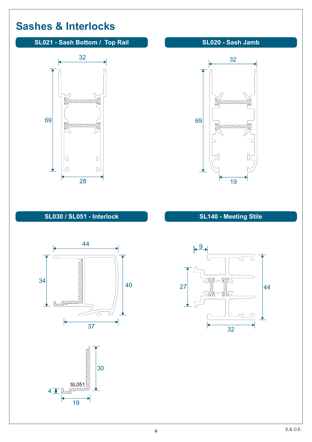### **Sashes & Interlocks**

#### **SL021 - Sash Bottom / Top Rail SL020 - Sash Jamb**





#### **SL030 / SL051 - Interlock**





#### **SL140 - Meeting Stile**

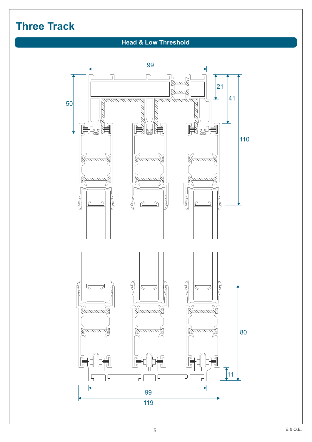### **Three Track**

#### **Head & Low Threshold**

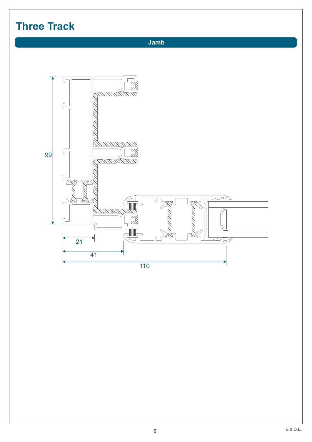## **Three Track**

 **Jamb**

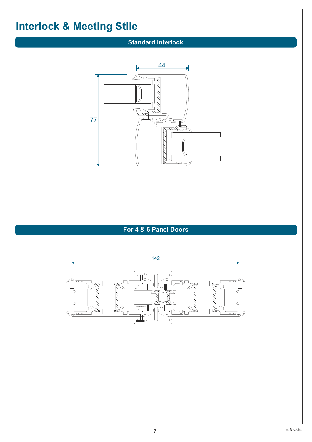## **Interlock & Meeting Stile**

#### **Standard Interlock**



### **For 4 & 6 Panel Doors**

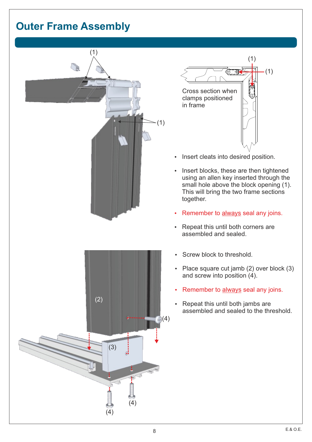### **Outer Frame Assembly**